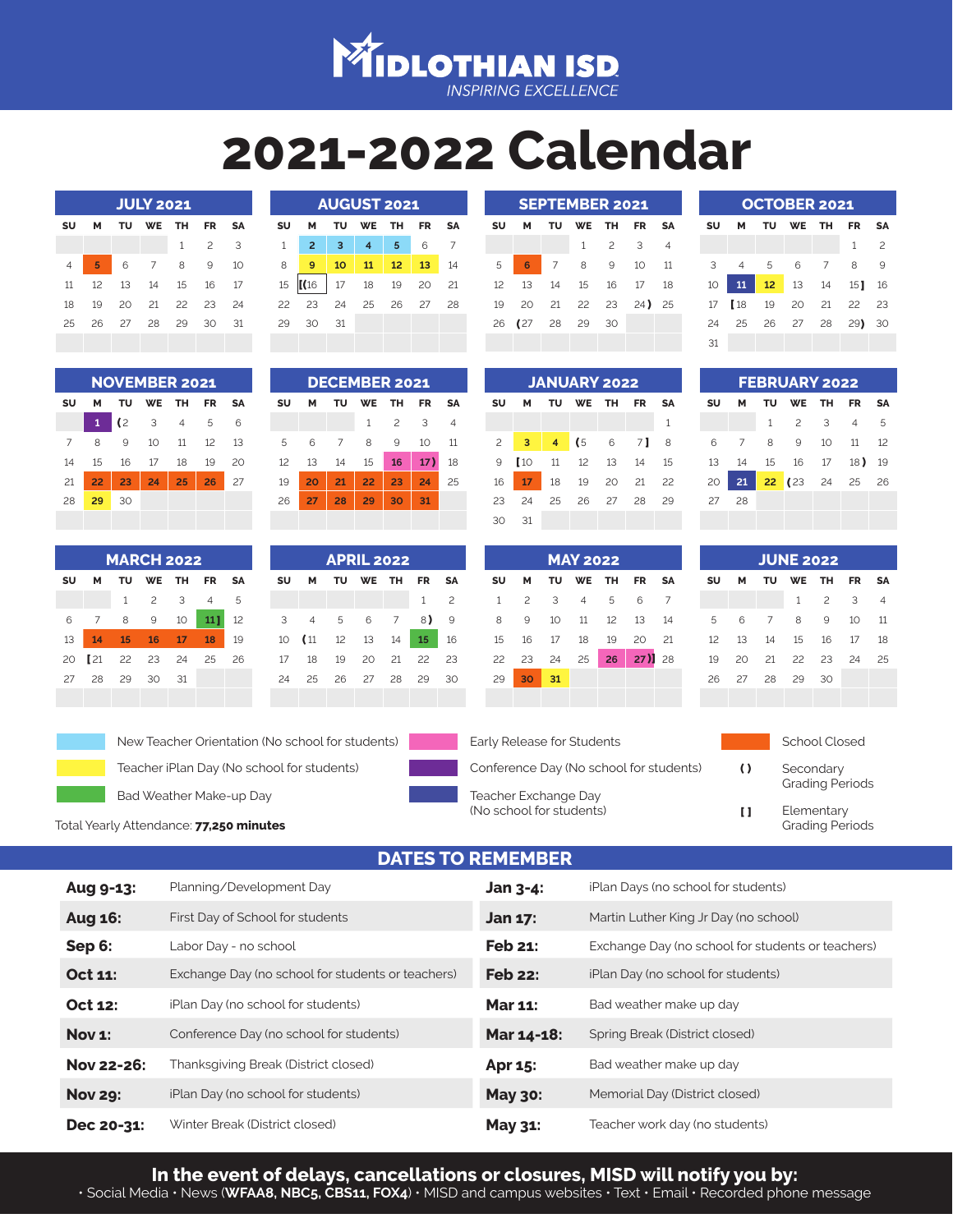

## **2021-2022 Calendar**

| <b>JULY 2021</b> |    |    |           |              |                          |    |  |  |
|------------------|----|----|-----------|--------------|--------------------------|----|--|--|
| SU               | М  | τυ | <b>WE</b> | тн           | FR                       | SΑ |  |  |
|                  |    |    |           | $\mathbf{1}$ | $\overline{\phantom{0}}$ | 3  |  |  |
| $\overline{4}$   | 5  | 6  | 7         | 8            | 9                        | 10 |  |  |
| 11               | 12 | 13 | 14        | 15           | 16                       | 17 |  |  |
| 18               | 19 | 20 | 21        | 22           | 23                       | 24 |  |  |
| 25               | 26 | 27 | 28        | 29           | 30                       | 31 |  |  |
|                  |    |    |           |              |                          |    |  |  |

| <b>AUGUST 2021</b> |                |    |                |    |    |    |  |  |
|--------------------|----------------|----|----------------|----|----|----|--|--|
| SU                 | м              | τu | WE             | тн | FR | SΑ |  |  |
| 1                  | $\overline{2}$ | 3  | $\overline{4}$ | 5  | 6  |    |  |  |
| 8                  | 9              | 10 | 11             | 12 | 13 | 14 |  |  |
| 15                 | (16)           | 17 | 18             | 19 | 20 | 21 |  |  |
| 22                 | 23             | 24 | 25             | 26 | 27 | 28 |  |  |
| 29                 | 30             | 31 |                |    |    |    |  |  |
|                    |                |    |                |    |    |    |  |  |

| <b>AUGUST 2021</b> |  |                                               |  |  |  | <b>SEPTEMBER 2021</b>       |                 |  |  |  |                               |  | <b>OCTOBER 2021</b> |                         |  |  |
|--------------------|--|-----------------------------------------------|--|--|--|-----------------------------|-----------------|--|--|--|-------------------------------|--|---------------------|-------------------------|--|--|
|                    |  | M TU WE TH FR SA                              |  |  |  |                             | SU M TU         |  |  |  | WE THE FRESA SUM TU WE THE FR |  |                     |                         |  |  |
|                    |  | $2$ 3 4 5 6 7                                 |  |  |  |                             |                 |  |  |  | $1 \t2 \t3 \t4$               |  |                     |                         |  |  |
| $9-1$              |  | 10 11 12 13 14                                |  |  |  | 5 6 7 8 9 10 11 3 4 5 6 7 8 |                 |  |  |  |                               |  |                     |                         |  |  |
|                    |  | $(16 \mid 17 \mid 18 \mid 19 \mid 20 \mid 21$ |  |  |  | 12 13 14 15 16 17 18        |                 |  |  |  |                               |  |                     | 10 11 12 13 14 15       |  |  |
|                    |  | 23 24 25 26 27 28                             |  |  |  | 19 20 21 22 23 24) 25       |                 |  |  |  |                               |  |                     | 17   18 19 20 21 22     |  |  |
| 30 31              |  |                                               |  |  |  |                             | 26 (27 28 29 30 |  |  |  |                               |  |                     | 24  25  26  27  28  29) |  |  |
|                    |  |                                               |  |  |  |                             |                 |  |  |  |                               |  | 21                  |                         |  |  |

**JANUARY 2022 SU M TU WE TH FR SA**

**3 4 (**5 6 7 **1** 8 10 11 12 13 14 15 **17** 18 19 20 21 22 24 25 26 27 28 29

**(**

**MAY 2022 SU M TU WE TH FR SA** 1 2 3 4 5 6 7 8 9 10 11 12 13 14 15 16 17 18 19 20 21

30 31

**[**

1

**]**

| <b>OCTOBER 2021</b> |                 |    |          |  |                    |                          |  |  |
|---------------------|-----------------|----|----------|--|--------------------|--------------------------|--|--|
| SU                  | M.              | TU | WE TH    |  | <b>FR</b>          | SΑ                       |  |  |
|                     |                 |    |          |  | 1                  | $\overline{\phantom{0}}$ |  |  |
| 3                   | $\overline{4}$  | -5 | 6 7      |  | 8                  | $\Omega$                 |  |  |
| 10                  | 11 <sup>7</sup> |    | 12 13 14 |  | 151                | 16                       |  |  |
| 17                  |                 |    |          |  | [18 19 20 21 22 23 |                          |  |  |
| 24                  |                 |    |          |  | 25 26 27 28 29) 30 |                          |  |  |
| 31                  |                 |    |          |  |                    |                          |  |  |

**FEBRUARY 2022 SU M TU WE TH FR SA**

| <b>NOVEMBER 2021</b> |    |                |     |                |    |           |  |
|----------------------|----|----------------|-----|----------------|----|-----------|--|
| SU                   | м  | τU             | WE  | тн             | FR | <b>SA</b> |  |
|                      | 1  | $\overline{c}$ | - 3 | $\overline{4}$ | 5  | 6         |  |
| 7                    | 8  | 9              | 10  | 11             | 12 | 13        |  |
| 14                   | 15 | 16             | 17  | 18             | 19 | 20        |  |
| 21                   | 22 | 23             | 24  | 25             | 26 | 27        |  |
| 28                   | 29 | 30             |     |                |    |           |  |
|                      |    |                |     |                |    |           |  |

|    | <b>MARCH 2022</b> |    |                    |                          |           |    |  |  |
|----|-------------------|----|--------------------|--------------------------|-----------|----|--|--|
| SU | М                 | тu | <b>WE</b>          | ΤН                       | <b>FR</b> | SΑ |  |  |
|    |                   | 1  | $\overline{z}$     | $\overline{\phantom{a}}$ | 4         | 5  |  |  |
| 6  | $\overline{7}$    | 8  | 9                  | 10                       | 111       | 12 |  |  |
| 13 | 14                | 15 | 16 17              |                          | 18        | 19 |  |  |
| 20 |                   |    | <b>21 22 23 24</b> |                          | 25        | 26 |  |  |
| 27 | 28                | 29 | 30                 | 31                       |           |    |  |  |
|    |                   |    |                    |                          |           |    |  |  |

| <b>DECEMBER 2021</b> |    |    |           |     |     |                |  |
|----------------------|----|----|-----------|-----|-----|----------------|--|
| SU                   | М  | TU | <b>WE</b> | TH  | FR  | SΑ             |  |
|                      |    |    | 1         | - 2 | - 3 | $\overline{4}$ |  |
| 5                    | 6  | 7  | 8         | 9   | 10  | 11             |  |
| 12                   | 13 | 14 | 15        | 16  | 17) | 18             |  |
| 19                   | 20 | 21 | 22        | 23  | 24  | 25             |  |
| 26                   | 27 | 28 | 29        | 30  | 31  |                |  |
|                      |    |    |           |     |     |                |  |

| <b>APRIL 2022</b> |                |     |                   |                |                 |     |  |
|-------------------|----------------|-----|-------------------|----------------|-----------------|-----|--|
| SU                | м              |     | TU WE TH          |                | FR              | SΑ  |  |
|                   |                |     |                   |                | 1               | - 2 |  |
| 3                 | $\overline{4}$ | - 5 | 6                 | $\overline{7}$ | 8)              | 9   |  |
| 10                |                |     | $(11 \t 12 \t 13$ | 14             | 15 <sub>1</sub> | 16  |  |
| 17                | 18             | 19  | 20                | 21             | 22              | 23  |  |
| 24                | 25             |     | 26 27             | 28             | 29              | 30  |  |

New Teacher Orientation (No school for students) Early Release for Students School Closed

Teacher iPlan Day (No school for students) Conference Day (No school for students)



|  |          |  | 22 23 24 25 26 27) 28 |  |
|--|----------|--|-----------------------|--|
|  | 29 30 31 |  |                       |  |
|  |          |  |                       |  |
|  |          |  |                       |  |
|  |          |  |                       |  |

**( ) [ ]** Teacher Exchange Day (No school for students)

| SU | М  | TU           | <b>WE</b>        | ΤН | FR             | SΑ |
|----|----|--------------|------------------|----|----------------|----|
|    |    |              | <b>JUNE 2022</b> |    |                |    |
|    |    |              |                  |    |                |    |
|    |    |              |                  |    |                |    |
| 27 | 28 |              |                  |    |                |    |
| 20 | 21 |              | 22 (23 24 25     |    |                | 26 |
| 13 | 14 | 15           | 16               | 17 | 18)            | 19 |
| 6  | 7  | 8            | 9                | 10 | 11             | 12 |
|    |    | $\mathbf{1}$ | $\overline{c}$   | 3  | $\overline{4}$ | 5  |

|    | <b>JUNE 2022</b> |    |                    |         |    |           |  |  |  |
|----|------------------|----|--------------------|---------|----|-----------|--|--|--|
| SU | М                |    | TU WE TH FR        |         |    | <b>SA</b> |  |  |  |
|    |                  |    | $\mathbf{1}$       | $2 \t3$ |    | 4         |  |  |  |
| 5  | 6                | 7  | 8                  | 9       | 10 | 11        |  |  |  |
| 12 |                  |    | 13  14  15  16  17 |         |    | 18        |  |  |  |
| 19 | 20               |    | 21 22              | 23      | 24 | 25        |  |  |  |
| 26 | 27               | 28 | 29                 | 30      |    |           |  |  |  |
|    |                  |    |                    |         |    |           |  |  |  |

Secondary Grading Periods Elementary Grading Periods

Total Yearly Attendance: **77,250 minutes**

Bad Weather Make-up Day

|                   | РАНЕУ ТУ МЕМЕРИРЕМ                                |                |                                                   |
|-------------------|---------------------------------------------------|----------------|---------------------------------------------------|
| Aug 9-13:         | Planning/Development Day                          | Jan 3-4:       | iPlan Days (no school for students)               |
| Aug 16:           | First Day of School for students                  | <b>Jan 17:</b> | Martin Luther King Jr Day (no school)             |
| Sep 6:            | Labor Day - no school                             | <b>Feb 21:</b> | Exchange Day (no school for students or teachers) |
| Oct 11:           | Exchange Day (no school for students or teachers) | <b>Feb 22:</b> | iPlan Day (no school for students)                |
| Oct 12:           | iPlan Day (no school for students)                | <b>Mar 11:</b> | Bad weather make up day                           |
| Nov <sub>1:</sub> | Conference Day (no school for students)           | Mar 14-18:     | Spring Break (District closed)                    |
| Nov 22-26:        | Thanksgiving Break (District closed)              | Apr 15:        | Bad weather make up day                           |
| <b>Nov 29:</b>    | iPlan Day (no school for students)                | <b>May 30:</b> | Memorial Day (District closed)                    |
| Dec 20-31:        | Winter Break (District closed)                    | <b>May 31:</b> | Teacher work day (no students)                    |
|                   |                                                   |                |                                                   |

**DATES TO REMEMBER**

**In the event of delays, cancellations or closures, MISD will notify you by:** • Social Media • News (**WFAA8, NBC5, CBS11, FOX4**) • MISD and campus websites • Text • Email • Recorded phone message